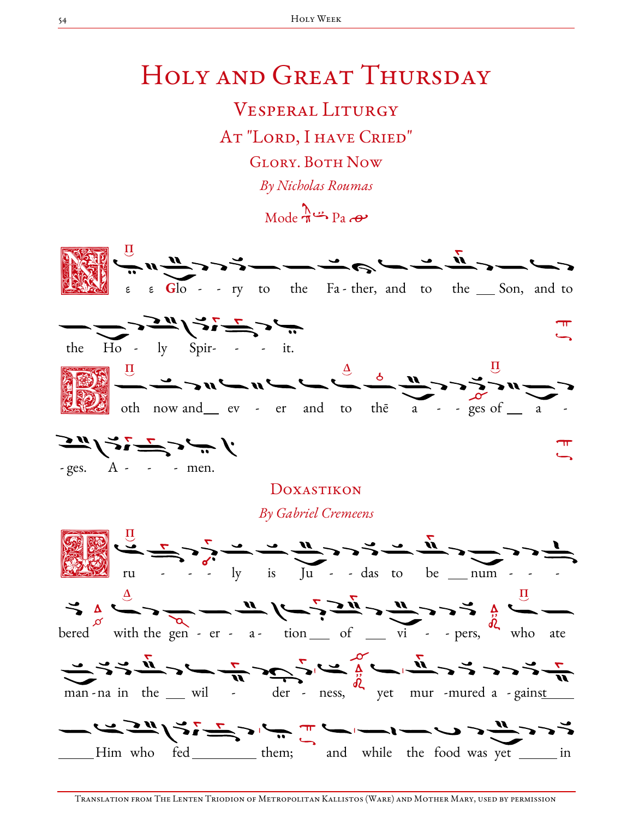## HOLY AND GREAT THURSDAY

**VESPERAL LITURGY** AT "LORD, I HAVE CRIED" **GLORY. BOTH NOW** By Nicholas Roumas  $Mode \xrightarrow{\Lambda} P_3 \xrightarrow{\bullet} P_4$ 

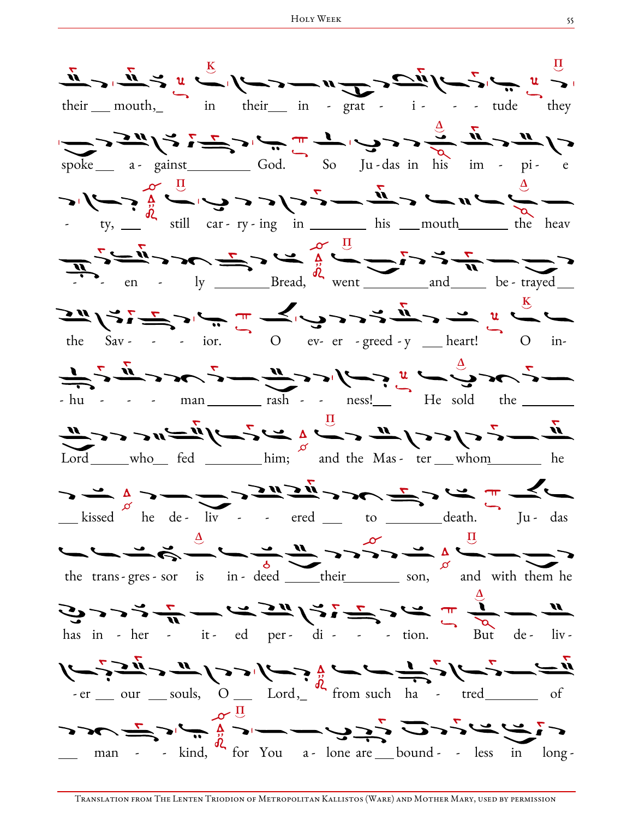